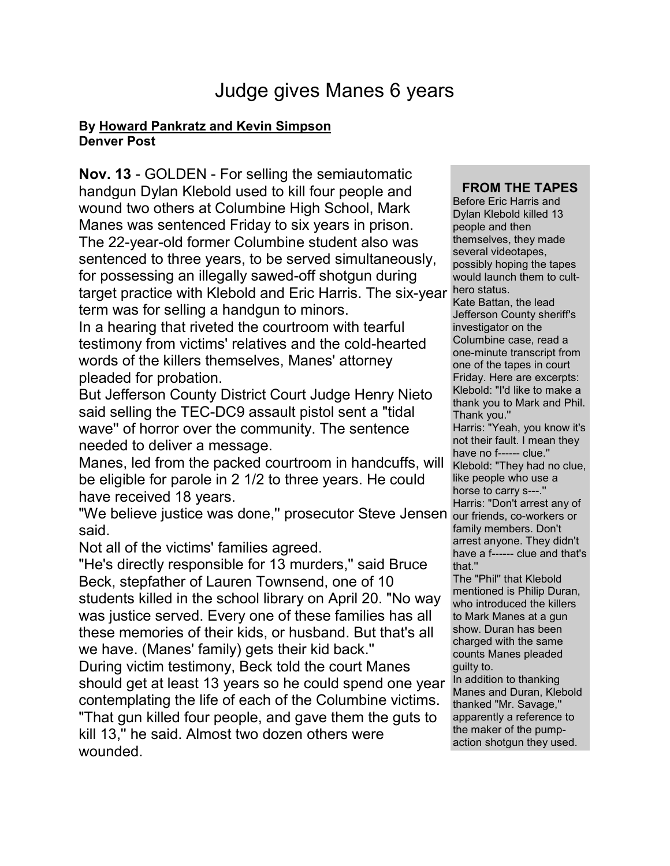## Judge gives Manes 6 years

## **By [Howard Pankratz and Kevin Simpson](mailto:newsroom@denverpost.com) Denver Post**

**Nov. 13** - GOLDEN - For selling the semiautomatic handgun Dylan Klebold used to kill four people and wound two others at Columbine High School, Mark Manes was sentenced Friday to six years in prison. The 22-year-old former Columbine student also was sentenced to three years, to be served simultaneously, for possessing an illegally sawed-off shotgun during target practice with Klebold and Eric Harris. The six-year term was for selling a handgun to minors.

In a hearing that riveted the courtroom with tearful testimony from victims' relatives and the cold-hearted words of the killers themselves, Manes' attorney pleaded for probation.

But Jefferson County District Court Judge Henry Nieto said selling the TEC-DC9 assault pistol sent a "tidal wave'' of horror over the community. The sentence needed to deliver a message.

Manes, led from the packed courtroom in handcuffs, will be eligible for parole in 2 1/2 to three years. He could have received 18 years.

"We believe justice was done,'' prosecutor Steve Jensen said.

Not all of the victims' families agreed.

"He's directly responsible for 13 murders,'' said Bruce Beck, stepfather of Lauren Townsend, one of 10 students killed in the school library on April 20. "No way was justice served. Every one of these families has all these memories of their kids, or husband. But that's all we have. (Manes' family) gets their kid back.''

During victim testimony, Beck told the court Manes should get at least 13 years so he could spend one year contemplating the life of each of the Columbine victims. "That gun killed four people, and gave them the guts to kill 13,'' he said. Almost two dozen others were wounded.

## **FROM THE TAPES**

Before Eric Harris and Dylan Klebold killed 13 people and then themselves, they made several videotapes, possibly hoping the tapes would launch them to culthero status. Kate Battan, the lead

Jefferson County sheriff's investigator on the Columbine case, read a one-minute transcript from one of the tapes in court Friday. Here are excerpts: Klebold: "I'd like to make a thank you to Mark and Phil. Thank you.''

Harris: "Yeah, you know it's not their fault. I mean they have no f------ clue.'' Klebold: "They had no clue, like people who use a horse to carry s---.'' Harris: "Don't arrest any of our friends, co-workers or family members. Don't

arrest anyone. They didn't have a f------ clue and that's that.''

The "Phil'' that Klebold mentioned is Philip Duran, who introduced the killers to Mark Manes at a gun show. Duran has been charged with the same counts Manes pleaded guilty to.

In addition to thanking Manes and Duran, Klebold thanked "Mr. Savage,'' apparently a reference to the maker of the pumpaction shotgun they used.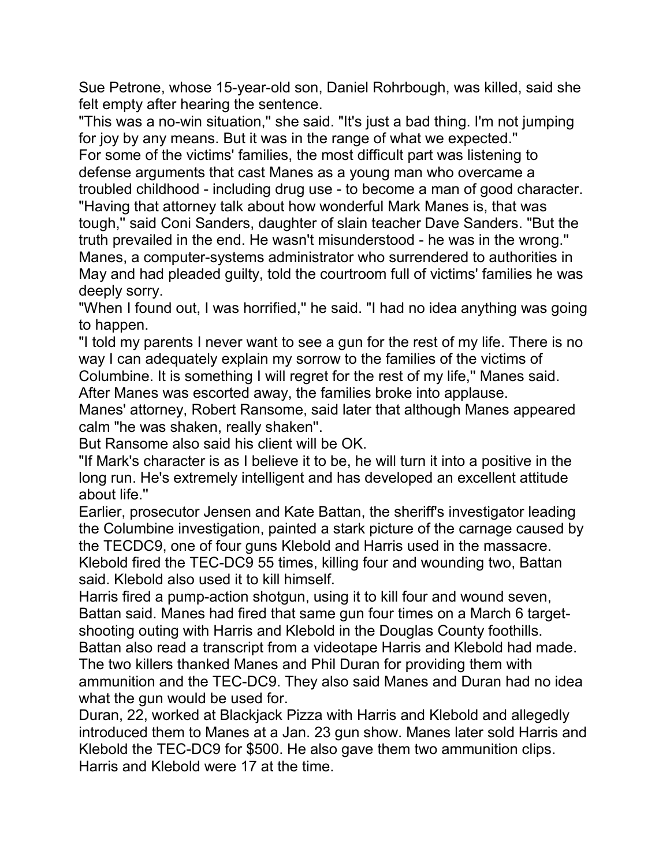Sue Petrone, whose 15-year-old son, Daniel Rohrbough, was killed, said she felt empty after hearing the sentence.

"This was a no-win situation,'' she said. "It's just a bad thing. I'm not jumping for joy by any means. But it was in the range of what we expected.''

For some of the victims' families, the most difficult part was listening to defense arguments that cast Manes as a young man who overcame a troubled childhood - including drug use - to become a man of good character. "Having that attorney talk about how wonderful Mark Manes is, that was tough,'' said Coni Sanders, daughter of slain teacher Dave Sanders. "But the truth prevailed in the end. He wasn't misunderstood - he was in the wrong.'' Manes, a computer-systems administrator who surrendered to authorities in May and had pleaded guilty, told the courtroom full of victims' families he was deeply sorry.

"When I found out, I was horrified,'' he said. "I had no idea anything was going to happen.

"I told my parents I never want to see a gun for the rest of my life. There is no way I can adequately explain my sorrow to the families of the victims of Columbine. It is something I will regret for the rest of my life,'' Manes said. After Manes was escorted away, the families broke into applause.

Manes' attorney, Robert Ransome, said later that although Manes appeared calm "he was shaken, really shaken''.

But Ransome also said his client will be OK.

"If Mark's character is as I believe it to be, he will turn it into a positive in the long run. He's extremely intelligent and has developed an excellent attitude about life.''

Earlier, prosecutor Jensen and Kate Battan, the sheriff's investigator leading the Columbine investigation, painted a stark picture of the carnage caused by the TECDC9, one of four guns Klebold and Harris used in the massacre. Klebold fired the TEC-DC9 55 times, killing four and wounding two, Battan said. Klebold also used it to kill himself.

Harris fired a pump-action shotgun, using it to kill four and wound seven, Battan said. Manes had fired that same gun four times on a March 6 targetshooting outing with Harris and Klebold in the Douglas County foothills.

Battan also read a transcript from a videotape Harris and Klebold had made. The two killers thanked Manes and Phil Duran for providing them with ammunition and the TEC-DC9. They also said Manes and Duran had no idea what the gun would be used for.

Duran, 22, worked at Blackjack Pizza with Harris and Klebold and allegedly introduced them to Manes at a Jan. 23 gun show. Manes later sold Harris and Klebold the TEC-DC9 for \$500. He also gave them two ammunition clips. Harris and Klebold were 17 at the time.